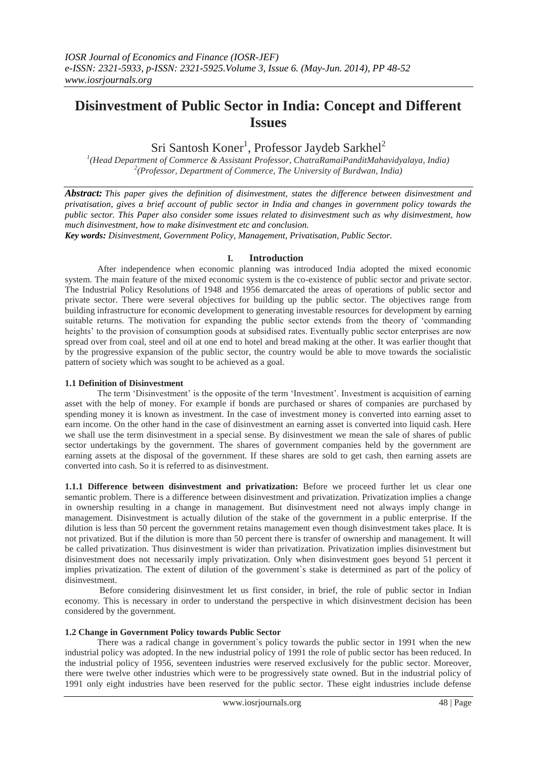# **Disinvestment of Public Sector in India: Concept and Different Issues**

Sri Santosh Koner<sup>1</sup>, Professor Jaydeb Sarkhel<sup>2</sup>

*1 (Head Department of Commerce & Assistant Professor, ChatraRamaiPanditMahavidyalaya, India) 2 (Professor, Department of Commerce, The University of Burdwan, India)*

*Abstract: This paper gives the definition of disinvestment, states the difference between disinvestment and privatisation, gives a brief account of public sector in India and changes in government policy towards the public sector. This Paper also consider some issues related to disinvestment such as why disinvestment, how much disinvestment, how to make disinvestment etc and conclusion.*

*Key words: Disinvestment, Government Policy, Management, Privatisation, Public Sector.*

## **I. Introduction**

After independence when economic planning was introduced India adopted the mixed economic system. The main feature of the mixed economic system is the co-existence of public sector and private sector. The Industrial Policy Resolutions of 1948 and 1956 demarcated the areas of operations of public sector and private sector. There were several objectives for building up the public sector. The objectives range from building infrastructure for economic development to generating investable resources for development by earning suitable returns. The motivation for expanding the public sector extends from the theory of "commanding heights' to the provision of consumption goods at subsidised rates. Eventually public sector enterprises are now spread over from coal, steel and oil at one end to hotel and bread making at the other. It was earlier thought that by the progressive expansion of the public sector, the country would be able to move towards the socialistic pattern of society which was sought to be achieved as a goal.

## **1.1 Definition of Disinvestment**

The term "Disinvestment" is the opposite of the term "Investment". Investment is acquisition of earning asset with the help of money. For example if bonds are purchased or shares of companies are purchased by spending money it is known as investment. In the case of investment money is converted into earning asset to earn income. On the other hand in the case of disinvestment an earning asset is converted into liquid cash. Here we shall use the term disinvestment in a special sense. By disinvestment we mean the sale of shares of public sector undertakings by the government. The shares of government companies held by the government are earning assets at the disposal of the government. If these shares are sold to get cash, then earning assets are converted into cash. So it is referred to as disinvestment.

**1.1.1 Difference between disinvestment and privatization:** Before we proceed further let us clear one semantic problem. There is a difference between disinvestment and privatization. Privatization implies a change in ownership resulting in a change in management. But disinvestment need not always imply change in management. Disinvestment is actually dilution of the stake of the government in a public enterprise. If the dilution is less than 50 percent the government retains management even though disinvestment takes place. It is not privatized. But if the dilution is more than 50 percent there is transfer of ownership and management. It will be called privatization. Thus disinvestment is wider than privatization. Privatization implies disinvestment but disinvestment does not necessarily imply privatization. Only when disinvestment goes beyond 51 percent it implies privatization. The extent of dilution of the government`s stake is determined as part of the policy of disinvestment.

Before considering disinvestment let us first consider, in brief, the role of public sector in Indian economy. This is necessary in order to understand the perspective in which disinvestment decision has been considered by the government.

#### **1.2 Change in Government Policy towards Public Sector**

There was a radical change in government`s policy towards the public sector in 1991 when the new industrial policy was adopted. In the new industrial policy of 1991 the role of public sector has been reduced. In the industrial policy of 1956, seventeen industries were reserved exclusively for the public sector. Moreover, there were twelve other industries which were to be progressively state owned. But in the industrial policy of 1991 only eight industries have been reserved for the public sector. These eight industries include defense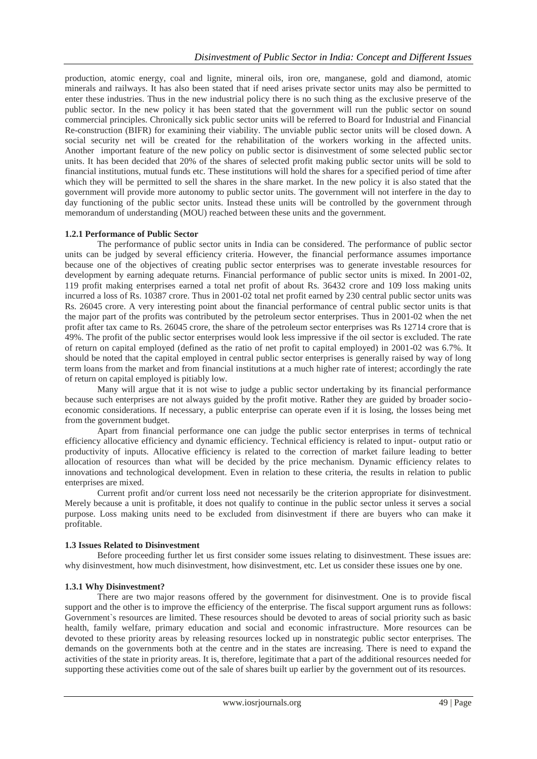production, atomic energy, coal and lignite, mineral oils, iron ore, manganese, gold and diamond, atomic minerals and railways. It has also been stated that if need arises private sector units may also be permitted to enter these industries. Thus in the new industrial policy there is no such thing as the exclusive preserve of the public sector. In the new policy it has been stated that the government will run the public sector on sound commercial principles. Chronically sick public sector units will be referred to Board for Industrial and Financial Re-construction (BIFR) for examining their viability. The unviable public sector units will be closed down. A social security net will be created for the rehabilitation of the workers working in the affected units. Another important feature of the new policy on public sector is disinvestment of some selected public sector units. It has been decided that 20% of the shares of selected profit making public sector units will be sold to financial institutions, mutual funds etc. These institutions will hold the shares for a specified period of time after which they will be permitted to sell the shares in the share market. In the new policy it is also stated that the government will provide more autonomy to public sector units. The government will not interfere in the day to day functioning of the public sector units. Instead these units will be controlled by the government through memorandum of understanding (MOU) reached between these units and the government.

### **1.2.1 Performance of Public Sector**

The performance of public sector units in India can be considered. The performance of public sector units can be judged by several efficiency criteria. However, the financial performance assumes importance because one of the objectives of creating public sector enterprises was to generate investable resources for development by earning adequate returns. Financial performance of public sector units is mixed. In 2001-02, 119 profit making enterprises earned a total net profit of about Rs. 36432 crore and 109 loss making units incurred a loss of Rs. 10387 crore. Thus in 2001-02 total net profit earned by 230 central public sector units was Rs. 26045 crore. A very interesting point about the financial performance of central public sector units is that the major part of the profits was contributed by the petroleum sector enterprises. Thus in 2001-02 when the net profit after tax came to Rs. 26045 crore, the share of the petroleum sector enterprises was Rs 12714 crore that is 49%. The profit of the public sector enterprises would look less impressive if the oil sector is excluded. The rate of return on capital employed (defined as the ratio of net profit to capital employed) in 2001-02 was 6.7%. It should be noted that the capital employed in central public sector enterprises is generally raised by way of long term loans from the market and from financial institutions at a much higher rate of interest; accordingly the rate of return on capital employed is pitiably low.

Many will argue that it is not wise to judge a public sector undertaking by its financial performance because such enterprises are not always guided by the profit motive. Rather they are guided by broader socioeconomic considerations. If necessary, a public enterprise can operate even if it is losing, the losses being met from the government budget.

Apart from financial performance one can judge the public sector enterprises in terms of technical efficiency allocative efficiency and dynamic efficiency. Technical efficiency is related to input- output ratio or productivity of inputs. Allocative efficiency is related to the correction of market failure leading to better allocation of resources than what will be decided by the price mechanism. Dynamic efficiency relates to innovations and technological development. Even in relation to these criteria, the results in relation to public enterprises are mixed.

Current profit and/or current loss need not necessarily be the criterion appropriate for disinvestment. Merely because a unit is profitable, it does not qualify to continue in the public sector unless it serves a social purpose. Loss making units need to be excluded from disinvestment if there are buyers who can make it profitable.

## **1.3 Issues Related to Disinvestment**

Before proceeding further let us first consider some issues relating to disinvestment. These issues are: why disinvestment, how much disinvestment, how disinvestment, etc. Let us consider these issues one by one.

#### **1.3.1 Why Disinvestment?**

There are two major reasons offered by the government for disinvestment. One is to provide fiscal support and the other is to improve the efficiency of the enterprise. The fiscal support argument runs as follows: Government`s resources are limited. These resources should be devoted to areas of social priority such as basic health, family welfare, primary education and social and economic infrastructure. More resources can be devoted to these priority areas by releasing resources locked up in nonstrategic public sector enterprises. The demands on the governments both at the centre and in the states are increasing. There is need to expand the activities of the state in priority areas. It is, therefore, legitimate that a part of the additional resources needed for supporting these activities come out of the sale of shares built up earlier by the government out of its resources.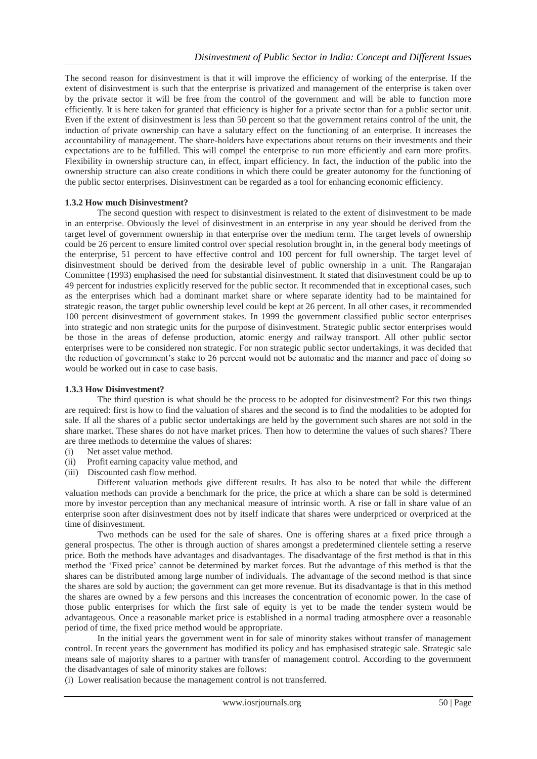The second reason for disinvestment is that it will improve the efficiency of working of the enterprise. If the extent of disinvestment is such that the enterprise is privatized and management of the enterprise is taken over by the private sector it will be free from the control of the government and will be able to function more efficiently. It is here taken for granted that efficiency is higher for a private sector than for a public sector unit. Even if the extent of disinvestment is less than 50 percent so that the government retains control of the unit, the induction of private ownership can have a salutary effect on the functioning of an enterprise. It increases the accountability of management. The share-holders have expectations about returns on their investments and their expectations are to be fulfilled. This will compel the enterprise to run more efficiently and earn more profits. Flexibility in ownership structure can, in effect, impart efficiency. In fact, the induction of the public into the ownership structure can also create conditions in which there could be greater autonomy for the functioning of the public sector enterprises. Disinvestment can be regarded as a tool for enhancing economic efficiency.

## **1.3.2 How much Disinvestment?**

The second question with respect to disinvestment is related to the extent of disinvestment to be made in an enterprise. Obviously the level of disinvestment in an enterprise in any year should be derived from the target level of government ownership in that enterprise over the medium term. The target levels of ownership could be 26 percent to ensure limited control over special resolution brought in, in the general body meetings of the enterprise, 51 percent to have effective control and 100 percent for full ownership. The target level of disinvestment should be derived from the desirable level of public ownership in a unit. The Rangarajan Committee (1993) emphasised the need for substantial disinvestment. It stated that disinvestment could be up to 49 percent for industries explicitly reserved for the public sector. It recommended that in exceptional cases, such as the enterprises which had a dominant market share or where separate identity had to be maintained for strategic reason, the target public ownership level could be kept at 26 percent. In all other cases, it recommended 100 percent disinvestment of government stakes. In 1999 the government classified public sector enterprises into strategic and non strategic units for the purpose of disinvestment. Strategic public sector enterprises would be those in the areas of defense production, atomic energy and railway transport. All other public sector enterprises were to be considered non strategic. For non strategic public sector undertakings, it was decided that the reduction of government"s stake to 26 percent would not be automatic and the manner and pace of doing so would be worked out in case to case basis.

#### **1.3.3 How Disinvestment?**

The third question is what should be the process to be adopted for disinvestment? For this two things are required: first is how to find the valuation of shares and the second is to find the modalities to be adopted for sale. If all the shares of a public sector undertakings are held by the government such shares are not sold in the share market. These shares do not have market prices. Then how to determine the values of such shares? There are three methods to determine the values of shares:

- (i) Net asset value method.
- (ii) Profit earning capacity value method, and
- (iii) Discounted cash flow method.

Different valuation methods give different results. It has also to be noted that while the different valuation methods can provide a benchmark for the price, the price at which a share can be sold is determined more by investor perception than any mechanical measure of intrinsic worth. A rise or fall in share value of an enterprise soon after disinvestment does not by itself indicate that shares were underpriced or overpriced at the time of disinvestment.

Two methods can be used for the sale of shares. One is offering shares at a fixed price through a general prospectus. The other is through auction of shares amongst a predetermined clientele setting a reserve price. Both the methods have advantages and disadvantages. The disadvantage of the first method is that in this method the "Fixed price" cannot be determined by market forces. But the advantage of this method is that the shares can be distributed among large number of individuals. The advantage of the second method is that since the shares are sold by auction; the government can get more revenue. But its disadvantage is that in this method the shares are owned by a few persons and this increases the concentration of economic power. In the case of those public enterprises for which the first sale of equity is yet to be made the tender system would be advantageous. Once a reasonable market price is established in a normal trading atmosphere over a reasonable period of time, the fixed price method would be appropriate.

In the initial years the government went in for sale of minority stakes without transfer of management control. In recent years the government has modified its policy and has emphasised strategic sale. Strategic sale means sale of majority shares to a partner with transfer of management control. According to the government the disadvantages of sale of minority stakes are follows:

(i) Lower realisation because the management control is not transferred.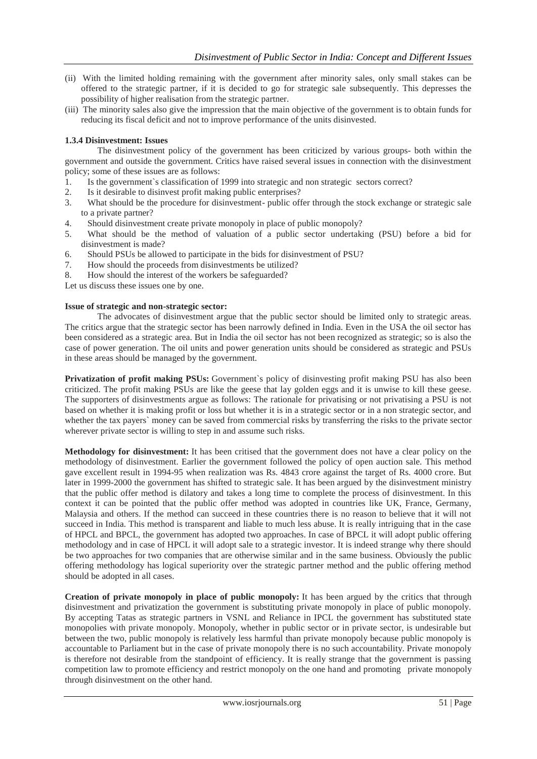- (ii) With the limited holding remaining with the government after minority sales, only small stakes can be offered to the strategic partner, if it is decided to go for strategic sale subsequently. This depresses the possibility of higher realisation from the strategic partner.
- (iii) The minority sales also give the impression that the main objective of the government is to obtain funds for reducing its fiscal deficit and not to improve performance of the units disinvested.

## **1.3.4 Disinvestment: Issues**

The disinvestment policy of the government has been criticized by various groups- both within the government and outside the government. Critics have raised several issues in connection with the disinvestment policy; some of these issues are as follows:

- 1. Is the government`s classification of 1999 into strategic and non strategic sectors correct?
- 2. Is it desirable to disinvest profit making public enterprises?
- 3. What should be the procedure for disinvestment- public offer through the stock exchange or strategic sale to a private partner?
- 4. Should disinvestment create private monopoly in place of public monopoly?
- 5. What should be the method of valuation of a public sector undertaking (PSU) before a bid for disinvestment is made?
- 6. Should PSUs be allowed to participate in the bids for disinvestment of PSU?
- 7. How should the proceeds from disinvestments be utilized?
- 8. How should the interest of the workers be safeguarded?

Let us discuss these issues one by one.

#### **Issue of strategic and non-strategic sector:**

The advocates of disinvestment argue that the public sector should be limited only to strategic areas. The critics argue that the strategic sector has been narrowly defined in India. Even in the USA the oil sector has been considered as a strategic area. But in India the oil sector has not been recognized as strategic; so is also the case of power generation. The oil units and power generation units should be considered as strategic and PSUs in these areas should be managed by the government.

**Privatization of profit making PSUs:** Government`s policy of disinvesting profit making PSU has also been criticized. The profit making PSUs are like the geese that lay golden eggs and it is unwise to kill these geese. The supporters of disinvestments argue as follows: The rationale for privatising or not privatising a PSU is not based on whether it is making profit or loss but whether it is in a strategic sector or in a non strategic sector, and whether the tax payers` money can be saved from commercial risks by transferring the risks to the private sector wherever private sector is willing to step in and assume such risks.

**Methodology for disinvestment:** It has been critised that the government does not have a clear policy on the methodology of disinvestment. Earlier the government followed the policy of open auction sale. This method gave excellent result in 1994-95 when realization was Rs. 4843 crore against the target of Rs. 4000 crore. But later in 1999-2000 the government has shifted to strategic sale. It has been argued by the disinvestment ministry that the public offer method is dilatory and takes a long time to complete the process of disinvestment. In this context it can be pointed that the public offer method was adopted in countries like UK, France, Germany, Malaysia and others. If the method can succeed in these countries there is no reason to believe that it will not succeed in India. This method is transparent and liable to much less abuse. It is really intriguing that in the case of HPCL and BPCL, the government has adopted two approaches. In case of BPCL it will adopt public offering methodology and in case of HPCL it will adopt sale to a strategic investor. It is indeed strange why there should be two approaches for two companies that are otherwise similar and in the same business. Obviously the public offering methodology has logical superiority over the strategic partner method and the public offering method should be adopted in all cases.

**Creation of private monopoly in place of public monopoly:** It has been argued by the critics that through disinvestment and privatization the government is substituting private monopoly in place of public monopoly. By accepting Tatas as strategic partners in VSNL and Reliance in IPCL the government has substituted state monopolies with private monopoly. Monopoly, whether in public sector or in private sector, is undesirable but between the two, public monopoly is relatively less harmful than private monopoly because public monopoly is accountable to Parliament but in the case of private monopoly there is no such accountability. Private monopoly is therefore not desirable from the standpoint of efficiency. It is really strange that the government is passing competition law to promote efficiency and restrict monopoly on the one hand and promoting private monopoly through disinvestment on the other hand.